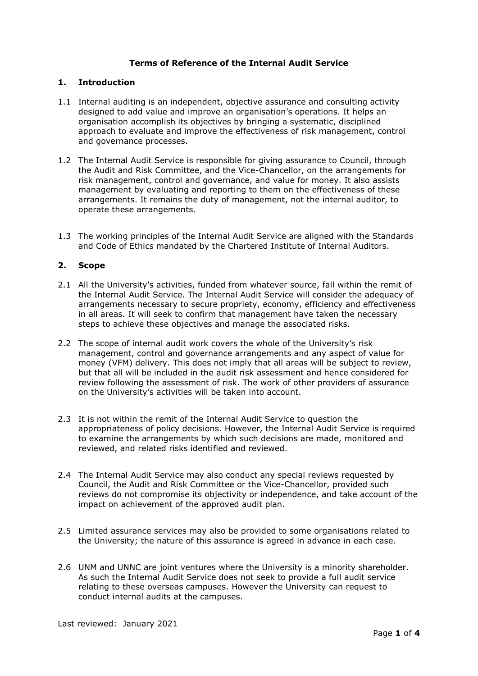# **Terms of Reference of the Internal Audit Service**

## **1. Introduction**

- 1.1 Internal auditing is an independent, objective assurance and consulting activity designed to add value and improve an organisation's operations. It helps an organisation accomplish its objectives by bringing a systematic, disciplined approach to evaluate and improve the effectiveness of risk management, control and governance processes.
- 1.2 The Internal Audit Service is responsible for giving assurance to Council, through the Audit and Risk Committee, and the Vice-Chancellor, on the arrangements for risk management, control and governance, and value for money. It also assists management by evaluating and reporting to them on the effectiveness of these arrangements. It remains the duty of management, not the internal auditor, to operate these arrangements.
- 1.3 The working principles of the Internal Audit Service are aligned with the Standards and Code of Ethics mandated by the Chartered Institute of Internal Auditors.

# **2. Scope**

- 2.1 All the University's activities, funded from whatever source, fall within the remit of the Internal Audit Service. The Internal Audit Service will consider the adequacy of arrangements necessary to secure propriety, economy, efficiency and effectiveness in all areas. It will seek to confirm that management have taken the necessary steps to achieve these objectives and manage the associated risks.
- 2.2 The scope of internal audit work covers the whole of the University's risk management, control and governance arrangements and any aspect of value for money (VFM) delivery. This does not imply that all areas will be subject to review, but that all will be included in the audit risk assessment and hence considered for review following the assessment of risk. The work of other providers of assurance on the University's activities will be taken into account.
- 2.3 It is not within the remit of the Internal Audit Service to question the appropriateness of policy decisions. However, the Internal Audit Service is required to examine the arrangements by which such decisions are made, monitored and reviewed, and related risks identified and reviewed.
- 2.4 The Internal Audit Service may also conduct any special reviews requested by Council, the Audit and Risk Committee or the Vice-Chancellor, provided such reviews do not compromise its objectivity or independence, and take account of the impact on achievement of the approved audit plan.
- 2.5 Limited assurance services may also be provided to some organisations related to the University; the nature of this assurance is agreed in advance in each case.
- 2.6 UNM and UNNC are joint ventures where the University is a minority shareholder. As such the Internal Audit Service does not seek to provide a full audit service relating to these overseas campuses. However the University can request to conduct internal audits at the campuses.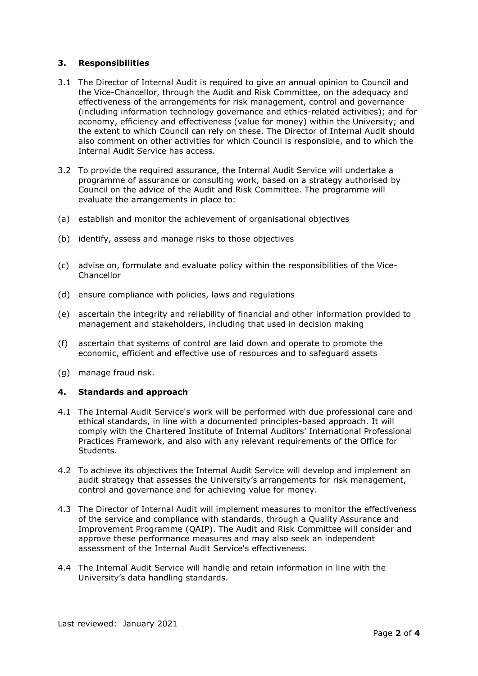## **3. Responsibilities**

- 3.1 The Director of Internal Audit is required to give an annual opinion to Council and the Vice-Chancellor, through the Audit and Risk Committee, on the adequacy and effectiveness of the arrangements for risk management, control and governance (including information technology governance and ethics-related activities); and for economy, efficiency and effectiveness (value for money) within the University; and the extent to which Council can rely on these. The Director of Internal Audit should also comment on other activities for which Council is responsible, and to which the Internal Audit Service has access.
- 3.2 To provide the required assurance, the Internal Audit Service will undertake a programme of assurance or consulting work, based on a strategy authorised by Council on the advice of the Audit and Risk Committee. The programme will evaluate the arrangements in place to:
- (a) establish and monitor the achievement of organisational objectives
- (b) identify, assess and manage risks to those objectives
- (c) advise on, formulate and evaluate policy within the responsibilities of the Vice-Chancellor
- (d) ensure compliance with policies, laws and regulations
- (e) ascertain the integrity and reliability of financial and other information provided to management and stakeholders, including that used in decision making
- (f) ascertain that systems of control are laid down and operate to promote the economic, efficient and effective use of resources and to safeguard assets
- (g) manage fraud risk.

### **4. Standards and approach**

- 4.1 The Internal Audit Service's work will be performed with due professional care and ethical standards, in line with a documented principles-based approach. It will comply with the Chartered Institute of Internal Auditors' International Professional Practices Framework, and also with any relevant requirements of the Office for Students.
- 4.2 To achieve its objectives the Internal Audit Service will develop and implement an audit strategy that assesses the University's arrangements for risk management, control and governance and for achieving value for money.
- 4.3 The Director of Internal Audit will implement measures to monitor the effectiveness of the service and compliance with standards, through a Quality Assurance and Improvement Programme (QAIP). The Audit and Risk Committee will consider and approve these performance measures and may also seek an independent assessment of the Internal Audit Service's effectiveness.
- 4.4 The Internal Audit Service will handle and retain information in line with the University's data handling standards.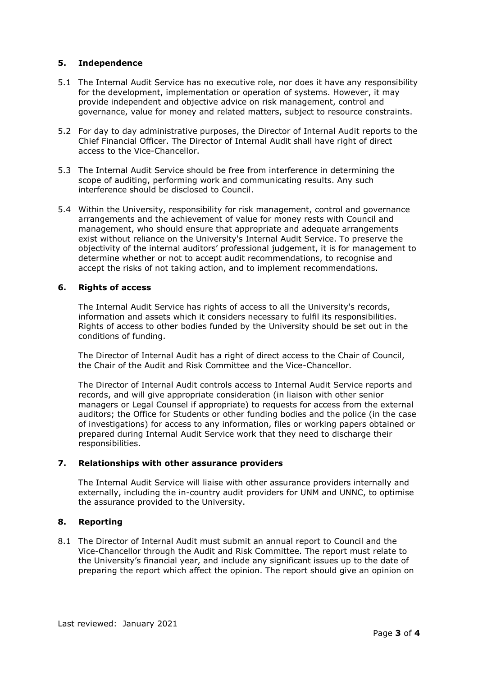# **5. Independence**

- 5.1 The Internal Audit Service has no executive role, nor does it have any responsibility for the development, implementation or operation of systems. However, it may provide independent and objective advice on risk management, control and governance, value for money and related matters, subject to resource constraints.
- 5.2 For day to day administrative purposes, the Director of Internal Audit reports to the Chief Financial Officer. The Director of Internal Audit shall have right of direct access to the Vice-Chancellor.
- 5.3 The Internal Audit Service should be free from interference in determining the scope of auditing, performing work and communicating results. Any such interference should be disclosed to Council.
- 5.4 Within the University, responsibility for risk management, control and governance arrangements and the achievement of value for money rests with Council and management, who should ensure that appropriate and adequate arrangements exist without reliance on the University's Internal Audit Service. To preserve the objectivity of the internal auditors' professional judgement, it is for management to determine whether or not to accept audit recommendations, to recognise and accept the risks of not taking action, and to implement recommendations.

# **6. Rights of access**

The Internal Audit Service has rights of access to all the University's records, information and assets which it considers necessary to fulfil its responsibilities. Rights of access to other bodies funded by the University should be set out in the conditions of funding.

The Director of Internal Audit has a right of direct access to the Chair of Council, the Chair of the Audit and Risk Committee and the Vice-Chancellor.

The Director of Internal Audit controls access to Internal Audit Service reports and records, and will give appropriate consideration (in liaison with other senior managers or Legal Counsel if appropriate) to requests for access from the external auditors; the Office for Students or other funding bodies and the police (in the case of investigations) for access to any information, files or working papers obtained or prepared during Internal Audit Service work that they need to discharge their responsibilities.

### **7. Relationships with other assurance providers**

The Internal Audit Service will liaise with other assurance providers internally and externally, including the in-country audit providers for UNM and UNNC, to optimise the assurance provided to the University.

## **8. Reporting**

8.1 The Director of Internal Audit must submit an annual report to Council and the Vice-Chancellor through the Audit and Risk Committee. The report must relate to the University's financial year, and include any significant issues up to the date of preparing the report which affect the opinion. The report should give an opinion on